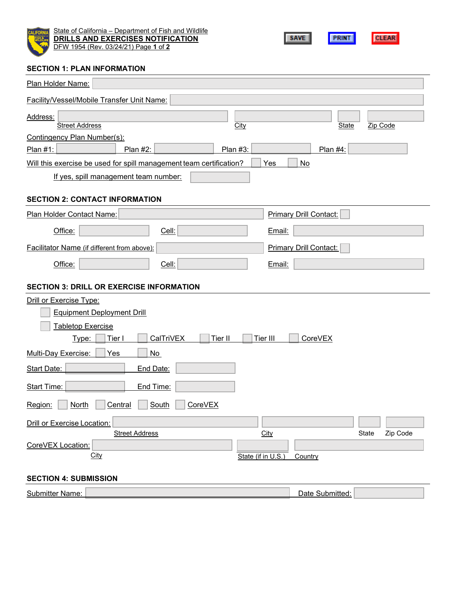

State of California – Department of Fish and Wildlife **DRILLS AND EXERCISES NOTIFICATION** DFW 1954 (Rev. 03/24/21) Page **1** of **2**



#### **SECTION 1: PLAN INFORMATION**

| Plan Holder Name:                                                   |                                         |
|---------------------------------------------------------------------|-----------------------------------------|
| Facility/Vessel/Mobile Transfer Unit Name:                          |                                         |
| Address:<br><b>Street Address</b>                                   | Zip Code<br><b>City</b><br><b>State</b> |
| Contingency Plan Number(s):                                         |                                         |
| Plan #2:<br>Plan #3:<br>Plan #1:                                    | Plan #4:                                |
| Will this exercise be used for spill management team certification? | Yes<br>No                               |
| If yes, spill management team number:                               |                                         |
| <b>SECTION 2: CONTACT INFORMATION</b>                               |                                         |
| Plan Holder Contact Name:                                           | <b>Primary Drill Contact:</b>           |
| Office:<br>Cell:                                                    | Email:                                  |
| Facilitator Name (if different from above):                         | <b>Primary Drill Contact:</b>           |
| Office:<br>Cell:                                                    | Email:                                  |
|                                                                     |                                         |
| <b>SECTION 3: DRILL OR EXERCISE INFORMATION</b>                     |                                         |
| <b>Drill or Exercise Type:</b>                                      |                                         |
| <b>Equipment Deployment Drill</b>                                   |                                         |
| <b>Tabletop Exercise</b>                                            |                                         |
| Tier I<br>CalTriVEX<br>Tier II<br>Type:                             | CoreVEX<br>Tier III                     |
| Multi-Day Exercise:<br>Yes<br>No                                    |                                         |
| Start Date:<br>End Date:                                            |                                         |
| <b>Start Time:</b><br>End Time:                                     |                                         |
| South<br>Region:<br><b>North</b><br>Central<br>CoreVEX              |                                         |
| Drill or Exercise Location:                                         |                                         |
| <b>Street Address</b>                                               | Zip Code<br><b>City</b><br>State        |
| CoreVEX Location:                                                   |                                         |
| City                                                                | State (if in U.S.)<br>Country           |
| <b>SECTION 4: SUBMISSION</b>                                        |                                         |
| <b>Submitter Name:</b>                                              | Date Submitted:                         |